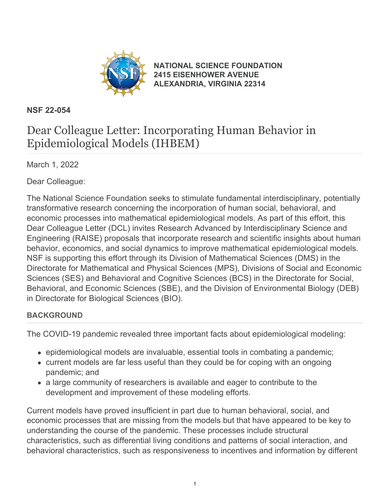

**[NATIONAL SCIENCE FOUNDATION](https://www.nsf.gov/) [2415 EISENHOWER AVENUE](https://www.nsf.gov/) [ALEXANDRIA, VIRGINIA 22314](https://www.nsf.gov/)**

### **NSF 22-054**

# Dear Colleague Letter: Incorporating Human Behavior in Epidemiological Models (IHBEM)

March 1, 2022

Dear Colleague:

The National Science Foundation seeks to stimulate fundamental interdisciplinary, potentially transformative research concerning the incorporation of human social, behavioral, and economic processes into mathematical epidemiological models. As part of this effort, this Dear Colleague Letter (DCL) invites Research Advanced by Interdisciplinary Science and Engineering (RAISE) proposals that incorporate research and scientific insights about human behavior, economics, and social dynamics to improve mathematical epidemiological models. NSF is supporting this effort through its Division of Mathematical Sciences (DMS) in the Directorate for Mathematical and Physical Sciences (MPS), Divisions of Social and Economic Sciences (SES) and Behavioral and Cognitive Sciences (BCS) in the Directorate for Social, Behavioral, and Economic Sciences (SBE), and the Division of Environmental Biology (DEB) in Directorate for Biological Sciences (BIO).

## **BACKGROUND**

The COVID-19 pandemic revealed three important facts about epidemiological modeling:

- epidemiological models are invaluable, essential tools in combating a pandemic;
- current models are far less useful than they could be for coping with an ongoing pandemic; and
- a large community of researchers is available and eager to contribute to the development and improvement of these modeling efforts.

Current models have proved insufficient in part due to human behavioral, social, and economic processes that are missing from the models but that have appeared to be key to understanding the course of the pandemic. These processes include structural characteristics, such as differential living conditions and patterns of social interaction, and behavioral characteristics, such as responsiveness to incentives and information by different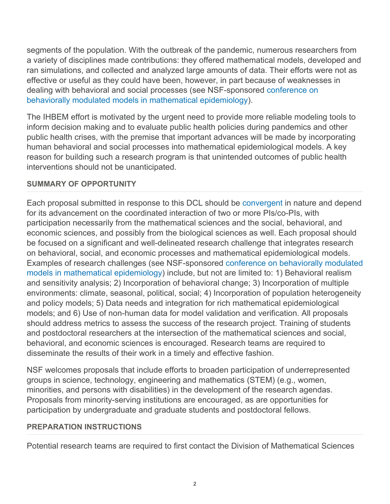segments of the population. With the outbreak of the pandemic, numerous researchers from a variety of disciplines made contributions: they offered mathematical models, developed and ran simulations, and collected and analyzed large amounts of data. Their efforts were not as effective or useful as they could have been, however, in part because of weaknesses in dealing with behavioral and social processes (see NSF-sponsored [conference on](https://www.nsf.gov/cgi-bin/goodbye?https://giesbusiness.illinois.edu/bridging-disciplinary-divides-conference) [behaviorally modulated models in mathematical epidemiology](https://www.nsf.gov/cgi-bin/goodbye?https://giesbusiness.illinois.edu/bridging-disciplinary-divides-conference)).

The IHBEM effort is motivated by the urgent need to provide more reliable modeling tools to inform decision making and to evaluate public health policies during pandemics and other public health crises, with the premise that important advances will be made by incorporating human behavioral and social processes into mathematical epidemiological models. A key reason for building such a research program is that unintended outcomes of public health interventions should not be unanticipated.

#### **SUMMARY OF OPPORTUNITY**

Each proposal submitted in response to this DCL should be [convergent](https://www.nsf.gov/od/oia/convergence/characteristics.jsp) in nature and depend for its advancement on the coordinated interaction of two or more PIs/co-PIs, with participation necessarily from the mathematical sciences and the social, behavioral, and economic sciences, and possibly from the biological sciences as well. Each proposal should be focused on a significant and well-delineated research challenge that integrates research on behavioral, social, and economic processes and mathematical epidemiological models. Examples of research challenges (see NSF-sponsored [conference on behaviorally modulated](https://www.nsf.gov/cgi-bin/goodbye?https://giesbusiness.illinois.edu/bridging-disciplinary-divides-conference) [models in mathematical epidemiology](https://www.nsf.gov/cgi-bin/goodbye?https://giesbusiness.illinois.edu/bridging-disciplinary-divides-conference)) include, but not are limited to: 1) Behavioral realism and sensitivity analysis; 2) Incorporation of behavioral change; 3) Incorporation of multiple environments: climate, seasonal, political, social; 4) Incorporation of population heterogeneity and policy models; 5) Data needs and integration for rich mathematical epidemiological models; and 6) Use of non-human data for model validation and verification. All proposals should address metrics to assess the success of the research project. Training of students and postdoctoral researchers at the intersection of the mathematical sciences and social, behavioral, and economic sciences is encouraged. Research teams are required to disseminate the results of their work in a timely and effective fashion.

NSF welcomes proposals that include efforts to broaden participation of underrepresented groups in science, technology, engineering and mathematics (STEM) (e.g., women, minorities, and persons with disabilities) in the development of the research agendas. Proposals from minority-serving institutions are encouraged, as are opportunities for participation by undergraduate and graduate students and postdoctoral fellows.

#### **PREPARATION INSTRUCTIONS**

Potential research teams are required to first contact the Division of Mathematical Sciences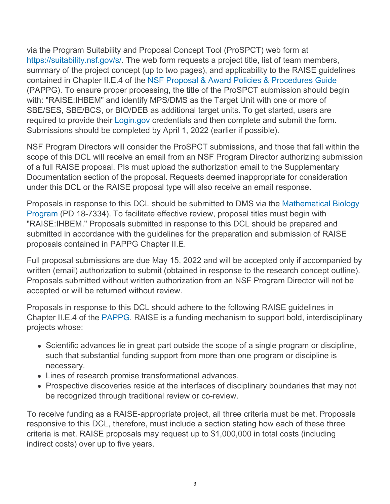via the Program Suitability and Proposal Concept Tool (ProSPCT) web form at [https://suitability.nsf.gov/s/.](https://suitability.nsf.gov/s/) The web form requests a project title, list of team members, summary of the project concept (up to two pages), and applicability to the RAISE guidelines contained in Chapter II.E.4 of the [NSF Proposal & Award Policies & Procedures Guide](https://www.nsf.gov/publications/pub_summ.jsp?ods_key=pappg) (PAPPG). To ensure proper processing, the title of the ProSPCT submission should begin with: "RAISE:IHBEM" and identify MPS/DMS as the Target Unit with one or more of SBE/SES, SBE/BCS, or BIO/DEB as additional target units. To get started, users are required to provide their [Login.gov](https://login.gov/) credentials and then complete and submit the form. Submissions should be completed by April 1, 2022 (earlier if possible).

NSF Program Directors will consider the ProSPCT submissions, and those that fall within the scope of this DCL will receive an email from an NSF Program Director authorizing submission of a full RAISE proposal. PIs must upload the authorization email to the Supplementary Documentation section of the proposal. Requests deemed inappropriate for consideration under this DCL or the RAISE proposal type will also receive an email response.

Proposals in response to this DCL should be submitted to DMS via the [Mathematical Biology](https://beta.nsf.gov/funding/opportunities/mathematical-biology) [Program](https://beta.nsf.gov/funding/opportunities/mathematical-biology) (PD 18-7334). To facilitate effective review, proposal titles must begin with "RAISE:IHBEM." Proposals submitted in response to this DCL should be prepared and submitted in accordance with the guidelines for the preparation and submission of RAISE proposals contained in PAPPG Chapter II.E.

Full proposal submissions are due May 15, 2022 and will be accepted only if accompanied by written (email) authorization to submit (obtained in response to the research concept outline). Proposals submitted without written authorization from an NSF Program Director will not be accepted or will be returned without review.

Proposals in response to this DCL should adhere to the following RAISE guidelines in Chapter II.E.4 of the [PAPPG](https://www.nsf.gov/publications/pub_summ.jsp?ods_key=pappg). RAISE is a funding mechanism to support bold, interdisciplinary projects whose:

- Scientific advances lie in great part outside the scope of a single program or discipline, such that substantial funding support from more than one program or discipline is necessary.
- Lines of research promise transformational advances.
- Prospective discoveries reside at the interfaces of disciplinary boundaries that may not be recognized through traditional review or co-review.

To receive funding as a RAISE-appropriate project, all three criteria must be met. Proposals responsive to this DCL, therefore, must include a section stating how each of these three criteria is met. RAISE proposals may request up to \$1,000,000 in total costs (including indirect costs) over up to five years.